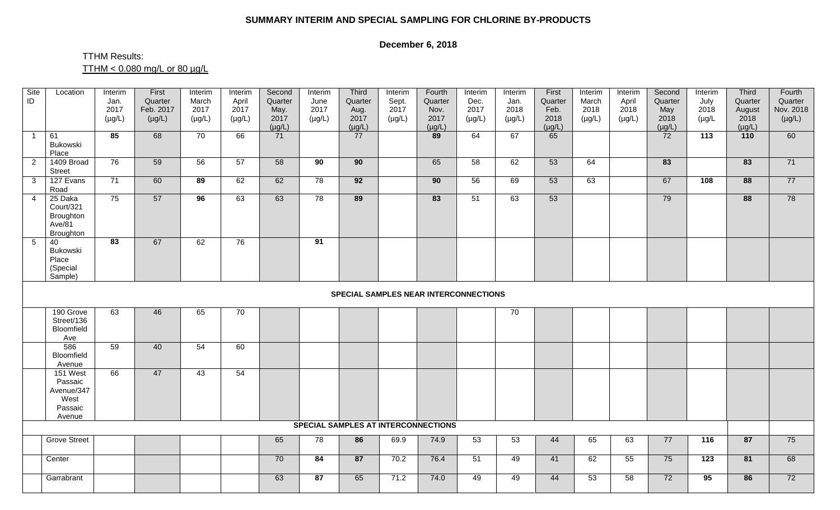## **SUMMARY INTERIM AND SPECIAL SAMPLING FOR CHLORINE BY-PRODUCTS**

## **December 6, 2018**

## TTHM Results:  $TTHM < 0.080$  mg/L or 80 µg/L

| Site<br>ID     | Location                                                        | Interim<br>Jan.<br>2017<br>$(\mu g/L)$ | First<br>Quarter<br>Feb. 2017<br>$(\mu g/L)$ | Interim<br>March<br>2017<br>$(\mu g/L)$ | Interim<br>April<br>2017<br>$(\mu g/L)$ | Second<br>Quarter<br>May.<br>2017<br>$(\mu g/L)$ | Interim<br>June<br>2017<br>$(\mu g/L)$ | Third<br>Quarter<br>Aug.<br>2017<br>$(\mu g/L)$ | Interim<br>Sept.<br>2017<br>$(\mu g/L)$ | Fourth<br>Quarter<br>Nov.<br>2017<br>$(\mu g/L)$ | Interim<br>Dec.<br>2017<br>$(\mu g/L)$ | Interim<br>Jan.<br>2018<br>$(\mu g/L)$ | First<br>Quarter<br>Feb.<br>2018<br>$(\mu g/L)$ | Interim<br>March<br>2018<br>$(\mu g/L)$ | Interim<br>April<br>2018<br>$(\mu g/L)$ | Second<br>Quarter<br>May<br>2018<br>$(\mu g/L)$ | Interim<br>July<br>2018<br>$(\mu g/L)$ | Third<br>Quarter<br>August<br>2018<br>$(\mu g/L)$ | Fourth<br>Quarter<br>Nov. 2018<br>$(\mu g/L)$ |
|----------------|-----------------------------------------------------------------|----------------------------------------|----------------------------------------------|-----------------------------------------|-----------------------------------------|--------------------------------------------------|----------------------------------------|-------------------------------------------------|-----------------------------------------|--------------------------------------------------|----------------------------------------|----------------------------------------|-------------------------------------------------|-----------------------------------------|-----------------------------------------|-------------------------------------------------|----------------------------------------|---------------------------------------------------|-----------------------------------------------|
| $\overline{1}$ | 61<br>Bukowski<br>Place                                         | 85                                     | 68                                           | 70                                      | 66                                      | 71                                               |                                        | 77                                              |                                         | 89                                               | 64                                     | 67                                     | 65                                              |                                         |                                         | 72                                              | 113                                    | 110                                               | 60                                            |
| 2              | 1409 Broad<br><b>Street</b>                                     | 76                                     | 59                                           | 56                                      | 57                                      | 58                                               | 90                                     | $\overline{90}$                                 |                                         | 65                                               | 58                                     | 62                                     | 53                                              | 64                                      |                                         | 83                                              |                                        | 83                                                | 71                                            |
| $\mathbf{3}$   | 127 Evans<br>Road                                               | 71                                     | 60                                           | 89                                      | 62                                      | 62                                               | 78                                     | 92                                              |                                         | 90                                               | 56                                     | 69                                     | 53                                              | 63                                      |                                         | 67                                              | 108                                    | 88                                                | 77                                            |
| $\overline{4}$ | 25 Daka<br>Court/321<br>Broughton<br>Ave/81<br><b>Broughton</b> | 75                                     | 57                                           | 96                                      | 63                                      | 63                                               | 78                                     | 89                                              |                                         | 83                                               | 51                                     | 63                                     | 53                                              |                                         |                                         | 79                                              |                                        | 88                                                | 78                                            |
| 5              | 40<br>Bukowski<br>Place<br>(Special<br>Sample)                  | $\overline{83}$                        | 67                                           | 62                                      | 76                                      |                                                  | $\overline{91}$                        |                                                 |                                         |                                                  |                                        |                                        |                                                 |                                         |                                         |                                                 |                                        |                                                   |                                               |
|                | <b>SPECIAL SAMPLES NEAR INTERCONNECTIONS</b>                    |                                        |                                              |                                         |                                         |                                                  |                                        |                                                 |                                         |                                                  |                                        |                                        |                                                 |                                         |                                         |                                                 |                                        |                                                   |                                               |
|                | 190 Grove<br>Street/136<br>Bloomfield<br>Ave                    | 63                                     | 46                                           | 65                                      | 70                                      |                                                  |                                        |                                                 |                                         |                                                  |                                        | 70                                     |                                                 |                                         |                                         |                                                 |                                        |                                                   |                                               |
|                | 586<br>Bloomfield<br>Avenue                                     | 59                                     | 40                                           | 54                                      | 60                                      |                                                  |                                        |                                                 |                                         |                                                  |                                        |                                        |                                                 |                                         |                                         |                                                 |                                        |                                                   |                                               |
|                | 151 West<br>Passaic<br>Avenue/347<br>West<br>Passaic<br>Avenue  | 66                                     | 47                                           | 43                                      | 54                                      |                                                  |                                        |                                                 |                                         |                                                  |                                        |                                        |                                                 |                                         |                                         |                                                 |                                        |                                                   |                                               |
|                |                                                                 |                                        |                                              |                                         |                                         |                                                  |                                        | <b>SPECIAL SAMPLES AT INTERCONNECTIONS</b>      |                                         |                                                  |                                        |                                        |                                                 |                                         |                                         |                                                 |                                        |                                                   |                                               |
|                | <b>Grove Street</b>                                             |                                        |                                              |                                         |                                         | 65                                               | 78                                     | 86                                              | 69.9                                    | 74.9                                             | 53                                     | 53                                     | 44                                              | 65                                      | 63                                      | $\overline{77}$                                 | $\overline{116}$                       | 87                                                | 75                                            |
|                | Center                                                          |                                        |                                              |                                         |                                         | 70                                               | 84                                     | 87                                              | 70.2                                    | 76.4                                             | 51                                     | 49                                     | 41                                              | 62                                      | 55                                      | 75                                              | 123                                    | 81                                                | 68                                            |
|                | Garrabrant                                                      |                                        |                                              |                                         |                                         | 63                                               | 87                                     | 65                                              | 71.2                                    | 74.0                                             | 49                                     | 49                                     | 44                                              | 53                                      | 58                                      | $\overline{72}$                                 | 95                                     | 86                                                | 72                                            |